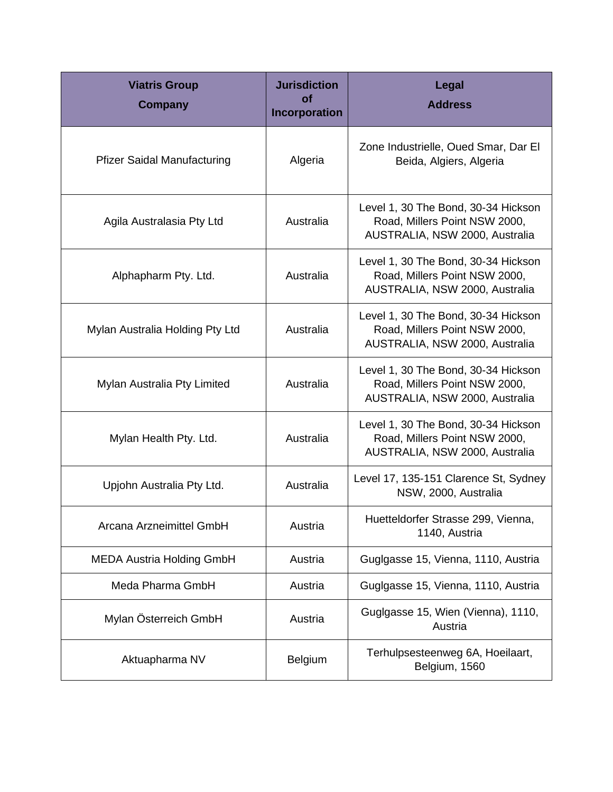| <b>Viatris Group</b><br><b>Company</b> | <b>Jurisdiction</b><br><b>of</b><br>Incorporation | Legal<br><b>Address</b>                                                                                |
|----------------------------------------|---------------------------------------------------|--------------------------------------------------------------------------------------------------------|
| <b>Pfizer Saidal Manufacturing</b>     | Algeria                                           | Zone Industrielle, Oued Smar, Dar El<br>Beida, Algiers, Algeria                                        |
| Agila Australasia Pty Ltd              | Australia                                         | Level 1, 30 The Bond, 30-34 Hickson<br>Road, Millers Point NSW 2000,<br>AUSTRALIA, NSW 2000, Australia |
| Alphapharm Pty. Ltd.                   | Australia                                         | Level 1, 30 The Bond, 30-34 Hickson<br>Road, Millers Point NSW 2000,<br>AUSTRALIA, NSW 2000, Australia |
| Mylan Australia Holding Pty Ltd        | Australia                                         | Level 1, 30 The Bond, 30-34 Hickson<br>Road, Millers Point NSW 2000,<br>AUSTRALIA, NSW 2000, Australia |
| Mylan Australia Pty Limited            | Australia                                         | Level 1, 30 The Bond, 30-34 Hickson<br>Road, Millers Point NSW 2000,<br>AUSTRALIA, NSW 2000, Australia |
| Mylan Health Pty. Ltd.                 | Australia                                         | Level 1, 30 The Bond, 30-34 Hickson<br>Road, Millers Point NSW 2000,<br>AUSTRALIA, NSW 2000, Australia |
| Upjohn Australia Pty Ltd.              | Australia                                         | Level 17, 135-151 Clarence St, Sydney<br>NSW, 2000, Australia                                          |
| Arcana Arzneimittel GmbH               | Austria                                           | Huetteldorfer Strasse 299, Vienna,<br>1140, Austria                                                    |
| <b>MEDA Austria Holding GmbH</b>       | Austria                                           | Guglgasse 15, Vienna, 1110, Austria                                                                    |
| Meda Pharma GmbH                       | Austria                                           | Guglgasse 15, Vienna, 1110, Austria                                                                    |
| Mylan Österreich GmbH                  | Austria                                           | Guglgasse 15, Wien (Vienna), 1110,<br>Austria                                                          |
| Aktuapharma NV                         | Belgium                                           | Terhulpsesteenweg 6A, Hoeilaart,<br>Belgium, 1560                                                      |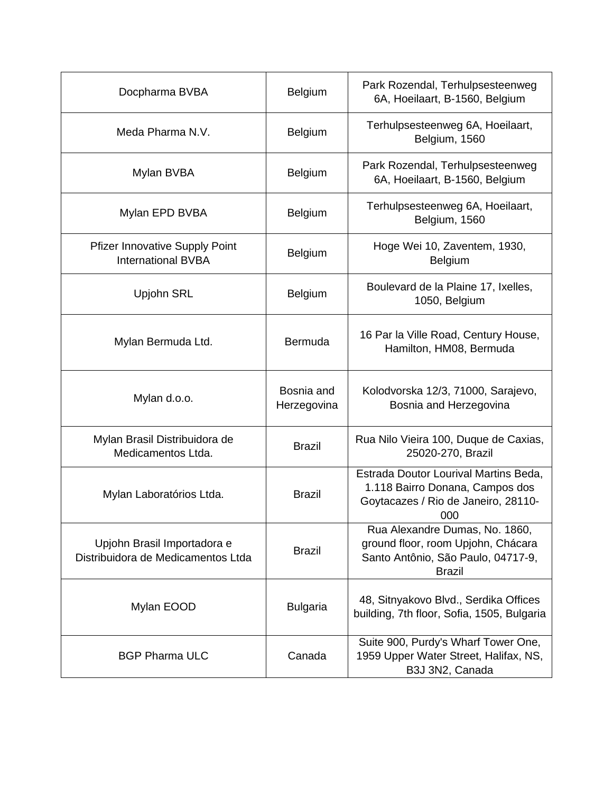| Docpharma BVBA                                                     | <b>Belgium</b>            | Park Rozendal, Terhulpsesteenweg<br>6A, Hoeilaart, B-1560, Belgium                                                          |
|--------------------------------------------------------------------|---------------------------|-----------------------------------------------------------------------------------------------------------------------------|
| Meda Pharma N.V.                                                   | <b>Belgium</b>            | Terhulpsesteenweg 6A, Hoeilaart,<br>Belgium, 1560                                                                           |
| Mylan BVBA                                                         | Belgium                   | Park Rozendal, Terhulpsesteenweg<br>6A, Hoeilaart, B-1560, Belgium                                                          |
| Mylan EPD BVBA                                                     | <b>Belgium</b>            | Terhulpsesteenweg 6A, Hoeilaart,<br>Belgium, 1560                                                                           |
| <b>Pfizer Innovative Supply Point</b><br><b>International BVBA</b> | <b>Belgium</b>            | Hoge Wei 10, Zaventem, 1930,<br><b>Belgium</b>                                                                              |
| Upjohn SRL                                                         | <b>Belgium</b>            | Boulevard de la Plaine 17, Ixelles,<br>1050, Belgium                                                                        |
| Mylan Bermuda Ltd.                                                 | Bermuda                   | 16 Par la Ville Road, Century House,<br>Hamilton, HM08, Bermuda                                                             |
| Mylan d.o.o.                                                       | Bosnia and<br>Herzegovina | Kolodvorska 12/3, 71000, Sarajevo,<br>Bosnia and Herzegovina                                                                |
| Mylan Brasil Distribuidora de<br>Medicamentos Ltda.                | <b>Brazil</b>             | Rua Nilo Vieira 100, Duque de Caxias,<br>25020-270, Brazil                                                                  |
| Mylan Laboratórios Ltda.                                           | <b>Brazil</b>             | Estrada Doutor Lourival Martins Beda,<br>1.118 Bairro Donana, Campos dos<br>Goytacazes / Rio de Janeiro, 28110-<br>000      |
| Upjohn Brasil Importadora e<br>Distribuidora de Medicamentos Ltda  | <b>Brazil</b>             | Rua Alexandre Dumas, No. 1860,<br>ground floor, room Upjohn, Chácara<br>Santo Antônio, São Paulo, 04717-9,<br><b>Brazil</b> |
| Mylan EOOD                                                         | <b>Bulgaria</b>           | 48, Sitnyakovo Blvd., Serdika Offices<br>building, 7th floor, Sofia, 1505, Bulgaria                                         |
| <b>BGP Pharma ULC</b>                                              | Canada                    | Suite 900, Purdy's Wharf Tower One,<br>1959 Upper Water Street, Halifax, NS,<br>B3J 3N2, Canada                             |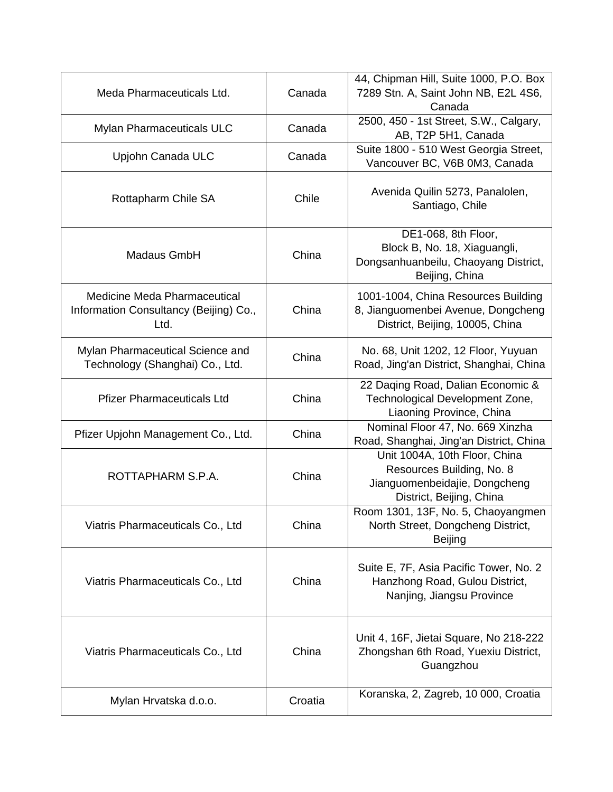| Meda Pharmaceuticals Ltd.                                                      | Canada  | 44, Chipman Hill, Suite 1000, P.O. Box<br>7289 Stn. A, Saint John NB, E2L 4S6,<br>Canada                                |
|--------------------------------------------------------------------------------|---------|-------------------------------------------------------------------------------------------------------------------------|
| Mylan Pharmaceuticals ULC                                                      | Canada  | 2500, 450 - 1st Street, S.W., Calgary,<br>AB, T2P 5H1, Canada                                                           |
| Upjohn Canada ULC                                                              | Canada  | Suite 1800 - 510 West Georgia Street,<br>Vancouver BC, V6B 0M3, Canada                                                  |
| Rottapharm Chile SA                                                            | Chile   | Avenida Quilin 5273, Panalolen,<br>Santiago, Chile                                                                      |
| Madaus GmbH                                                                    | China   | DE1-068, 8th Floor,<br>Block B, No. 18, Xiaguangli,<br>Dongsanhuanbeilu, Chaoyang District,<br>Beijing, China           |
| Medicine Meda Pharmaceutical<br>Information Consultancy (Beijing) Co.,<br>Ltd. | China   | 1001-1004, China Resources Building<br>8, Jianguomenbei Avenue, Dongcheng<br>District, Beijing, 10005, China            |
| Mylan Pharmaceutical Science and<br>Technology (Shanghai) Co., Ltd.            | China   | No. 68, Unit 1202, 12 Floor, Yuyuan<br>Road, Jing'an District, Shanghai, China                                          |
| <b>Pfizer Pharmaceuticals Ltd</b>                                              | China   | 22 Daqing Road, Dalian Economic &<br>Technological Development Zone,<br>Liaoning Province, China                        |
| Pfizer Upjohn Management Co., Ltd.                                             | China   | Nominal Floor 47, No. 669 Xinzha<br>Road, Shanghai, Jing'an District, China                                             |
| ROTTAPHARM S.P.A.                                                              | China   | Unit 1004A, 10th Floor, China<br>Resources Building, No. 8<br>Jianguomenbeidajie, Dongcheng<br>District, Beijing, China |
| Viatris Pharmaceuticals Co., Ltd                                               | China   | Room 1301, 13F, No. 5, Chaoyangmen<br>North Street, Dongcheng District,<br><b>Beijing</b>                               |
| Viatris Pharmaceuticals Co., Ltd                                               | China   | Suite E, 7F, Asia Pacific Tower, No. 2<br>Hanzhong Road, Gulou District,<br>Nanjing, Jiangsu Province                   |
| Viatris Pharmaceuticals Co., Ltd                                               | China   | Unit 4, 16F, Jietai Square, No 218-222<br>Zhongshan 6th Road, Yuexiu District,<br>Guangzhou                             |
| Mylan Hrvatska d.o.o.                                                          | Croatia | Koranska, 2, Zagreb, 10 000, Croatia                                                                                    |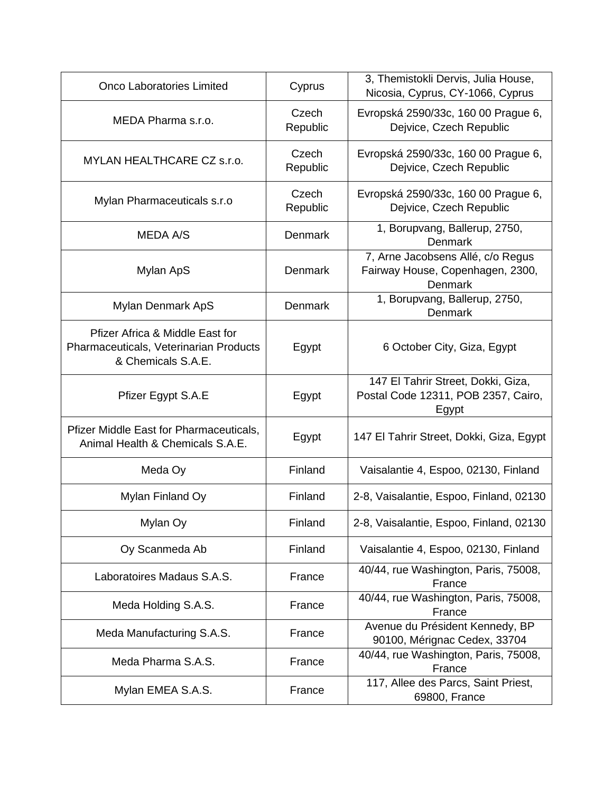| <b>Onco Laboratories Limited</b>                                                                | Cyprus            | 3, Themistokli Dervis, Julia House,<br>Nicosia, Cyprus, CY-1066, Cyprus            |
|-------------------------------------------------------------------------------------------------|-------------------|------------------------------------------------------------------------------------|
| MEDA Pharma s.r.o.                                                                              | Czech<br>Republic | Evropská 2590/33c, 160 00 Prague 6,<br>Dejvice, Czech Republic                     |
| MYLAN HEALTHCARE CZ s.r.o.                                                                      | Czech<br>Republic | Evropská 2590/33c, 160 00 Prague 6,<br>Dejvice, Czech Republic                     |
| Mylan Pharmaceuticals s.r.o                                                                     | Czech<br>Republic | Evropská 2590/33c, 160 00 Prague 6,<br>Dejvice, Czech Republic                     |
| <b>MEDA A/S</b>                                                                                 | Denmark           | 1, Borupvang, Ballerup, 2750,<br><b>Denmark</b>                                    |
| Mylan ApS                                                                                       | Denmark           | 7, Arne Jacobsens Allé, c/o Regus<br>Fairway House, Copenhagen, 2300,<br>Denmark   |
| Mylan Denmark ApS                                                                               | Denmark           | 1, Borupvang, Ballerup, 2750,<br>Denmark                                           |
| Pfizer Africa & Middle East for<br>Pharmaceuticals, Veterinarian Products<br>& Chemicals S.A.E. | Egypt             | 6 October City, Giza, Egypt                                                        |
| Pfizer Egypt S.A.E                                                                              | Egypt             | 147 El Tahrir Street, Dokki, Giza,<br>Postal Code 12311, POB 2357, Cairo,<br>Egypt |
| Pfizer Middle East for Pharmaceuticals,<br>Animal Health & Chemicals S.A.E.                     | Egypt             | 147 El Tahrir Street, Dokki, Giza, Egypt                                           |
| Meda Oy                                                                                         | Finland           | Vaisalantie 4, Espoo, 02130, Finland                                               |
| Mylan Finland Oy                                                                                | Finland           | 2-8, Vaisalantie, Espoo, Finland, 02130                                            |
| Mylan Oy                                                                                        | Finland           | 2-8, Vaisalantie, Espoo, Finland, 02130                                            |
| Oy Scanmeda Ab                                                                                  | Finland           | Vaisalantie 4, Espoo, 02130, Finland                                               |
| Laboratoires Madaus S.A.S.                                                                      | France            | 40/44, rue Washington, Paris, 75008,<br>France                                     |
| Meda Holding S.A.S.                                                                             | France            | 40/44, rue Washington, Paris, 75008,<br>France                                     |
| Meda Manufacturing S.A.S.                                                                       | France            | Avenue du Président Kennedy, BP<br>90100, Mérignac Cedex, 33704                    |
| Meda Pharma S.A.S.                                                                              | France            | 40/44, rue Washington, Paris, 75008,<br>France                                     |
| Mylan EMEA S.A.S.                                                                               | France            | 117, Allee des Parcs, Saint Priest,<br>69800, France                               |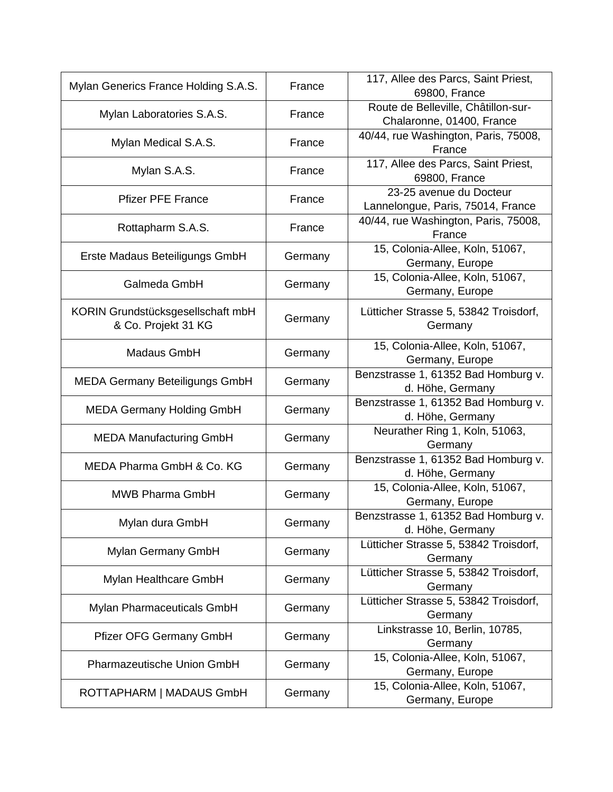| Mylan Generics France Holding S.A.S.                     | France  | 117, Allee des Parcs, Saint Priest,<br>69800, France             |
|----------------------------------------------------------|---------|------------------------------------------------------------------|
| Mylan Laboratories S.A.S.                                | France  | Route de Belleville, Châtillon-sur-<br>Chalaronne, 01400, France |
| Mylan Medical S.A.S.                                     | France  | 40/44, rue Washington, Paris, 75008,<br>France                   |
| Mylan S.A.S.                                             | France  | 117, Allee des Parcs, Saint Priest,<br>69800, France             |
| <b>Pfizer PFE France</b>                                 | France  | 23-25 avenue du Docteur<br>Lannelongue, Paris, 75014, France     |
| Rottapharm S.A.S.                                        | France  | 40/44, rue Washington, Paris, 75008,<br>France                   |
| Erste Madaus Beteiligungs GmbH                           | Germany | 15, Colonia-Allee, Koln, 51067,<br>Germany, Europe               |
| Galmeda GmbH                                             | Germany | 15, Colonia-Allee, Koln, 51067,<br>Germany, Europe               |
| KORIN Grundstücksgesellschaft mbH<br>& Co. Projekt 31 KG | Germany | Lütticher Strasse 5, 53842 Troisdorf,<br>Germany                 |
| Madaus GmbH                                              | Germany | 15, Colonia-Allee, Koln, 51067,<br>Germany, Europe               |
| <b>MEDA Germany Beteiligungs GmbH</b>                    | Germany | Benzstrasse 1, 61352 Bad Homburg v.<br>d. Höhe, Germany          |
| <b>MEDA Germany Holding GmbH</b>                         | Germany | Benzstrasse 1, 61352 Bad Homburg v.<br>d. Höhe, Germany          |
| <b>MEDA Manufacturing GmbH</b>                           | Germany | Neurather Ring 1, Koln, 51063,<br>Germany                        |
| MEDA Pharma GmbH & Co. KG                                | Germany | Benzstrasse 1, 61352 Bad Homburg v.<br>d. Höhe, Germany          |
| <b>MWB Pharma GmbH</b>                                   | Germany | 15, Colonia-Allee, Koln, 51067,<br>Germany, Europe               |
| Mylan dura GmbH                                          | Germany | Benzstrasse 1, 61352 Bad Homburg v.<br>d. Höhe, Germany          |
| Mylan Germany GmbH                                       | Germany | Lütticher Strasse 5, 53842 Troisdorf,<br>Germany                 |
| Mylan Healthcare GmbH                                    | Germany | Lütticher Strasse 5, 53842 Troisdorf,<br>Germany                 |
| Mylan Pharmaceuticals GmbH                               | Germany | Lütticher Strasse 5, 53842 Troisdorf,<br>Germany                 |
| Pfizer OFG Germany GmbH                                  | Germany | Linkstrasse 10, Berlin, 10785,<br>Germany                        |
| Pharmazeutische Union GmbH                               | Germany | 15, Colonia-Allee, Koln, 51067,<br>Germany, Europe               |
| ROTTAPHARM   MADAUS GmbH                                 | Germany | 15, Colonia-Allee, Koln, 51067,<br>Germany, Europe               |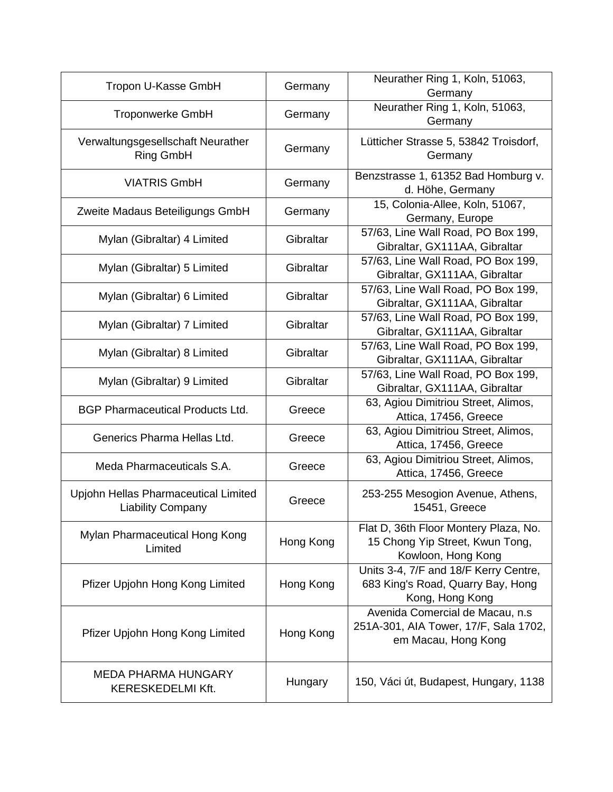| Tropon U-Kasse GmbH                                              | Germany   | Neurather Ring 1, Koln, 51063,<br>Germany                                                       |
|------------------------------------------------------------------|-----------|-------------------------------------------------------------------------------------------------|
| <b>Troponwerke GmbH</b>                                          | Germany   | Neurather Ring 1, Koln, 51063,<br>Germany                                                       |
| Verwaltungsgesellschaft Neurather<br>Ring GmbH                   | Germany   | Lütticher Strasse 5, 53842 Troisdorf,<br>Germany                                                |
| <b>VIATRIS GmbH</b>                                              | Germany   | Benzstrasse 1, 61352 Bad Homburg v.<br>d. Höhe, Germany                                         |
| Zweite Madaus Beteiligungs GmbH                                  | Germany   | 15, Colonia-Allee, Koln, 51067,<br>Germany, Europe                                              |
| Mylan (Gibraltar) 4 Limited                                      | Gibraltar | 57/63, Line Wall Road, PO Box 199,<br>Gibraltar, GX111AA, Gibraltar                             |
| Mylan (Gibraltar) 5 Limited                                      | Gibraltar | 57/63, Line Wall Road, PO Box 199,<br>Gibraltar, GX111AA, Gibraltar                             |
| Mylan (Gibraltar) 6 Limited                                      | Gibraltar | 57/63, Line Wall Road, PO Box 199,<br>Gibraltar, GX111AA, Gibraltar                             |
| Mylan (Gibraltar) 7 Limited                                      | Gibraltar | 57/63, Line Wall Road, PO Box 199,<br>Gibraltar, GX111AA, Gibraltar                             |
| Mylan (Gibraltar) 8 Limited                                      | Gibraltar | 57/63, Line Wall Road, PO Box 199,<br>Gibraltar, GX111AA, Gibraltar                             |
| Mylan (Gibraltar) 9 Limited                                      | Gibraltar | 57/63, Line Wall Road, PO Box 199,<br>Gibraltar, GX111AA, Gibraltar                             |
| <b>BGP Pharmaceutical Products Ltd.</b>                          | Greece    | 63, Agiou Dimitriou Street, Alimos,<br>Attica, 17456, Greece                                    |
| Generics Pharma Hellas Ltd.                                      | Greece    | 63, Agiou Dimitriou Street, Alimos,<br>Attica, 17456, Greece                                    |
| Meda Pharmaceuticals S.A.                                        | Greece    | 63, Agiou Dimitriou Street, Alimos,<br>Attica, 17456, Greece                                    |
| Upjohn Hellas Pharmaceutical Limited<br><b>Liability Company</b> | Greece    | 253-255 Mesogion Avenue, Athens,<br>15451, Greece                                               |
| Mylan Pharmaceutical Hong Kong<br>Limited                        | Hong Kong | Flat D, 36th Floor Montery Plaza, No.<br>15 Chong Yip Street, Kwun Tong,<br>Kowloon, Hong Kong  |
| Pfizer Upjohn Hong Kong Limited                                  | Hong Kong | Units 3-4, 7/F and 18/F Kerry Centre,<br>683 King's Road, Quarry Bay, Hong<br>Kong, Hong Kong   |
| Pfizer Upjohn Hong Kong Limited                                  | Hong Kong | Avenida Comercial de Macau, n.s<br>251A-301, AIA Tower, 17/F, Sala 1702,<br>em Macau, Hong Kong |
| <b>MEDA PHARMA HUNGARY</b><br><b>KERESKEDELMI Kft.</b>           | Hungary   | 150, Váci út, Budapest, Hungary, 1138                                                           |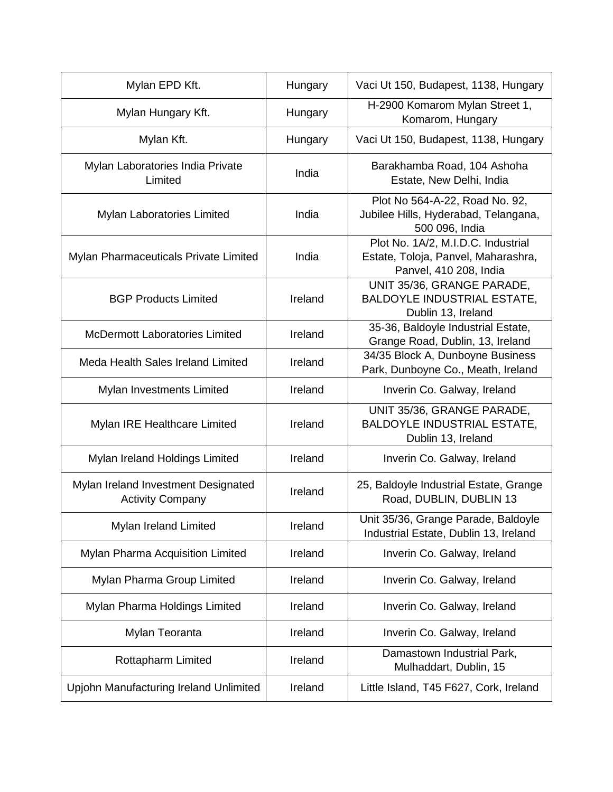| Mylan EPD Kft.                                                 | Hungary | Vaci Ut 150, Budapest, 1138, Hungary                                                                |
|----------------------------------------------------------------|---------|-----------------------------------------------------------------------------------------------------|
| Mylan Hungary Kft.                                             | Hungary | H-2900 Komarom Mylan Street 1,<br>Komarom, Hungary                                                  |
| Mylan Kft.                                                     | Hungary | Vaci Ut 150, Budapest, 1138, Hungary                                                                |
| Mylan Laboratories India Private<br>Limited                    | India   | Barakhamba Road, 104 Ashoha<br>Estate, New Delhi, India                                             |
| Mylan Laboratories Limited                                     | India   | Plot No 564-A-22, Road No. 92,<br>Jubilee Hills, Hyderabad, Telangana,<br>500 096, India            |
| Mylan Pharmaceuticals Private Limited                          | India   | Plot No. 1A/2, M.I.D.C. Industrial<br>Estate, Toloja, Panvel, Maharashra,<br>Panvel, 410 208, India |
| <b>BGP Products Limited</b>                                    | Ireland | UNIT 35/36, GRANGE PARADE,<br><b>BALDOYLE INDUSTRIAL ESTATE,</b><br>Dublin 13, Ireland              |
| <b>McDermott Laboratories Limited</b>                          | Ireland | 35-36, Baldoyle Industrial Estate,<br>Grange Road, Dublin, 13, Ireland                              |
| Meda Health Sales Ireland Limited                              | Ireland | 34/35 Block A, Dunboyne Business<br>Park, Dunboyne Co., Meath, Ireland                              |
| Mylan Investments Limited                                      | Ireland | Inverin Co. Galway, Ireland                                                                         |
| Mylan IRE Healthcare Limited                                   | Ireland | UNIT 35/36, GRANGE PARADE,<br><b>BALDOYLE INDUSTRIAL ESTATE,</b><br>Dublin 13, Ireland              |
| Mylan Ireland Holdings Limited                                 | Ireland | Inverin Co. Galway, Ireland                                                                         |
| Mylan Ireland Investment Designated<br><b>Activity Company</b> | Ireland | 25, Baldoyle Industrial Estate, Grange<br>Road, DUBLIN, DUBLIN 13                                   |
| Mylan Ireland Limited                                          | Ireland | Unit 35/36, Grange Parade, Baldoyle<br>Industrial Estate, Dublin 13, Ireland                        |
| Mylan Pharma Acquisition Limited                               | Ireland | Inverin Co. Galway, Ireland                                                                         |
| Mylan Pharma Group Limited                                     | Ireland | Inverin Co. Galway, Ireland                                                                         |
| Mylan Pharma Holdings Limited                                  | Ireland | Inverin Co. Galway, Ireland                                                                         |
| Mylan Teoranta                                                 | Ireland | Inverin Co. Galway, Ireland                                                                         |
| Rottapharm Limited                                             | Ireland | Damastown Industrial Park,<br>Mulhaddart, Dublin, 15                                                |
| Upjohn Manufacturing Ireland Unlimited                         | Ireland | Little Island, T45 F627, Cork, Ireland                                                              |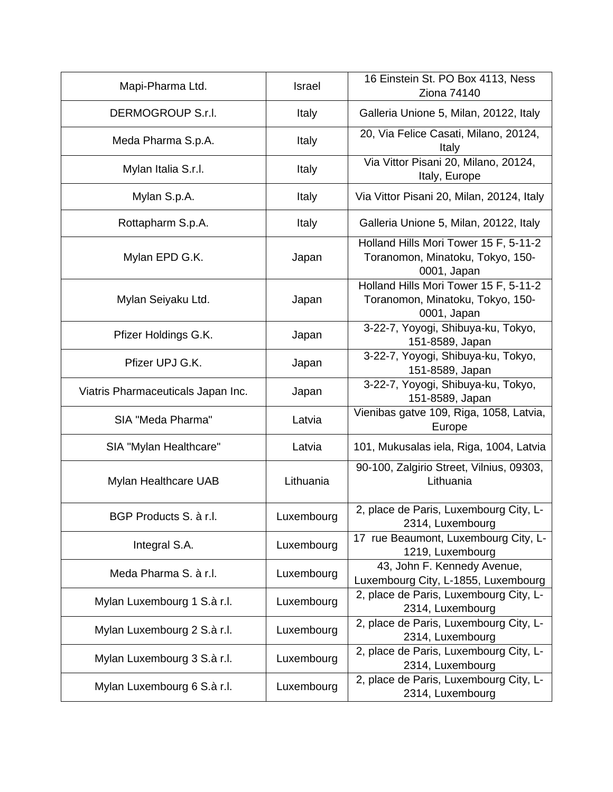| Mapi-Pharma Ltd.                   | Israel     | 16 Einstein St. PO Box 4113, Ness<br><b>Ziona 74140</b>                                  |
|------------------------------------|------------|------------------------------------------------------------------------------------------|
| DERMOGROUP S.r.I.                  | Italy      | Galleria Unione 5, Milan, 20122, Italy                                                   |
| Meda Pharma S.p.A.                 | Italy      | 20, Via Felice Casati, Milano, 20124,<br>Italy                                           |
| Mylan Italia S.r.l.                | Italy      | Via Vittor Pisani 20, Milano, 20124,<br>Italy, Europe                                    |
| Mylan S.p.A.                       | Italy      | Via Vittor Pisani 20, Milan, 20124, Italy                                                |
| Rottapharm S.p.A.                  | Italy      | Galleria Unione 5, Milan, 20122, Italy                                                   |
| Mylan EPD G.K.                     | Japan      | Holland Hills Mori Tower 15 F, 5-11-2<br>Toranomon, Minatoku, Tokyo, 150-<br>0001, Japan |
| Mylan Seiyaku Ltd.                 | Japan      | Holland Hills Mori Tower 15 F, 5-11-2<br>Toranomon, Minatoku, Tokyo, 150-<br>0001, Japan |
| Pfizer Holdings G.K.               | Japan      | 3-22-7, Yoyogi, Shibuya-ku, Tokyo,<br>151-8589, Japan                                    |
| Pfizer UPJ G.K.                    | Japan      | 3-22-7, Yoyogi, Shibuya-ku, Tokyo,<br>151-8589, Japan                                    |
| Viatris Pharmaceuticals Japan Inc. | Japan      | 3-22-7, Yoyogi, Shibuya-ku, Tokyo,<br>151-8589, Japan                                    |
| SIA "Meda Pharma"                  | Latvia     | Vienibas gatve 109, Riga, 1058, Latvia,<br>Europe                                        |
| SIA "Mylan Healthcare"             | Latvia     | 101, Mukusalas iela, Riga, 1004, Latvia                                                  |
| Mylan Healthcare UAB               | Lithuania  | 90-100, Zalgirio Street, Vilnius, 09303,<br>Lithuania                                    |
| BGP Products S. à r.l.             | Luxembourg | 2, place de Paris, Luxembourg City, L-<br>2314, Luxembourg                               |
| Integral S.A.                      | Luxembourg | 17 rue Beaumont, Luxembourg City, L-<br>1219, Luxembourg                                 |
| Meda Pharma S. à r.l.              | Luxembourg | 43, John F. Kennedy Avenue,<br>Luxembourg City, L-1855, Luxembourg                       |
| Mylan Luxembourg 1 S.à r.l.        | Luxembourg | 2, place de Paris, Luxembourg City, L-<br>2314, Luxembourg                               |
| Mylan Luxembourg 2 S.à r.l.        | Luxembourg | 2, place de Paris, Luxembourg City, L-<br>2314, Luxembourg                               |
| Mylan Luxembourg 3 S.à r.l.        | Luxembourg | 2, place de Paris, Luxembourg City, L-<br>2314, Luxembourg                               |
| Mylan Luxembourg 6 S.à r.l.        | Luxembourg | 2, place de Paris, Luxembourg City, L-<br>2314, Luxembourg                               |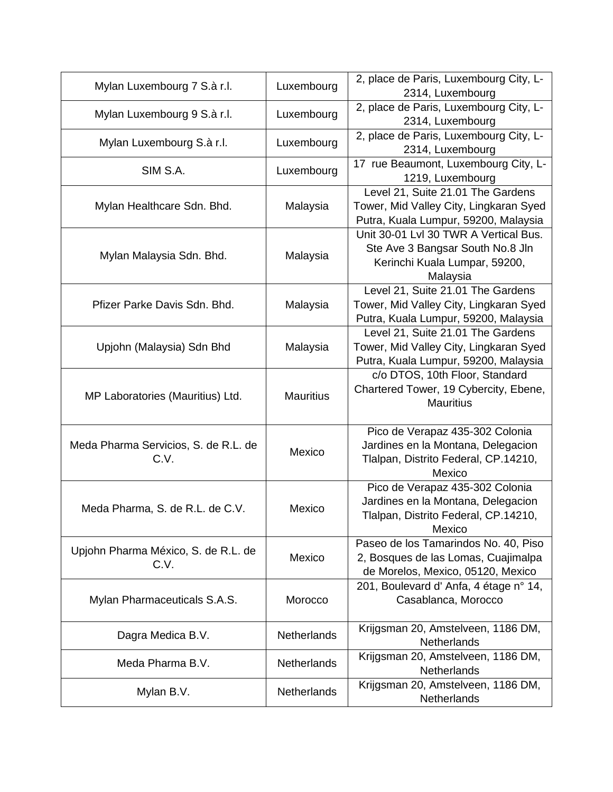| Mylan Luxembourg 7 S.à r.l.                  | Luxembourg         | 2, place de Paris, Luxembourg City, L-<br>2314, Luxembourg                                                              |
|----------------------------------------------|--------------------|-------------------------------------------------------------------------------------------------------------------------|
| Mylan Luxembourg 9 S.à r.l.                  | Luxembourg         | 2, place de Paris, Luxembourg City, L-<br>2314, Luxembourg                                                              |
| Mylan Luxembourg S.à r.l.                    | Luxembourg         | 2, place de Paris, Luxembourg City, L-<br>2314, Luxembourg                                                              |
| SIM S.A.                                     | Luxembourg         | 17 rue Beaumont, Luxembourg City, L-<br>1219, Luxembourg                                                                |
| Mylan Healthcare Sdn. Bhd.                   | Malaysia           | Level 21, Suite 21.01 The Gardens<br>Tower, Mid Valley City, Lingkaran Syed<br>Putra, Kuala Lumpur, 59200, Malaysia     |
| Mylan Malaysia Sdn. Bhd.                     | Malaysia           | Unit 30-01 Lvl 30 TWR A Vertical Bus.<br>Ste Ave 3 Bangsar South No.8 Jln<br>Kerinchi Kuala Lumpar, 59200,<br>Malaysia  |
| Pfizer Parke Davis Sdn. Bhd.                 | Malaysia           | Level 21, Suite 21.01 The Gardens<br>Tower, Mid Valley City, Lingkaran Syed<br>Putra, Kuala Lumpur, 59200, Malaysia     |
| Upjohn (Malaysia) Sdn Bhd                    | Malaysia           | Level 21, Suite 21.01 The Gardens<br>Tower, Mid Valley City, Lingkaran Syed<br>Putra, Kuala Lumpur, 59200, Malaysia     |
| MP Laboratories (Mauritius) Ltd.             | <b>Mauritius</b>   | c/o DTOS, 10th Floor, Standard<br>Chartered Tower, 19 Cybercity, Ebene,<br><b>Mauritius</b>                             |
| Meda Pharma Servicios, S. de R.L. de<br>C.V. | Mexico             | Pico de Verapaz 435-302 Colonia<br>Jardines en la Montana, Delegacion<br>Tlalpan, Distrito Federal, CP.14210,<br>Mexico |
| Meda Pharma, S. de R.L. de C.V.              | Mexico             | Pico de Verapaz 435-302 Colonia<br>Jardines en la Montana, Delegacion<br>Tlalpan, Distrito Federal, CP.14210,<br>Mexico |
| Upjohn Pharma México, S. de R.L. de<br>C.V.  | Mexico             | Paseo de los Tamarindos No. 40, Piso<br>2, Bosques de las Lomas, Cuajimalpa<br>de Morelos, Mexico, 05120, Mexico        |
| Mylan Pharmaceuticals S.A.S.                 | Morocco            | 201, Boulevard d' Anfa, 4 étage n° 14,<br>Casablanca, Morocco                                                           |
| Dagra Medica B.V.                            | <b>Netherlands</b> | Krijgsman 20, Amstelveen, 1186 DM,<br>Netherlands                                                                       |
| Meda Pharma B.V.                             | Netherlands        | Krijgsman 20, Amstelveen, 1186 DM,<br>Netherlands                                                                       |
| Mylan B.V.                                   | <b>Netherlands</b> | Krijgsman 20, Amstelveen, 1186 DM,<br>Netherlands                                                                       |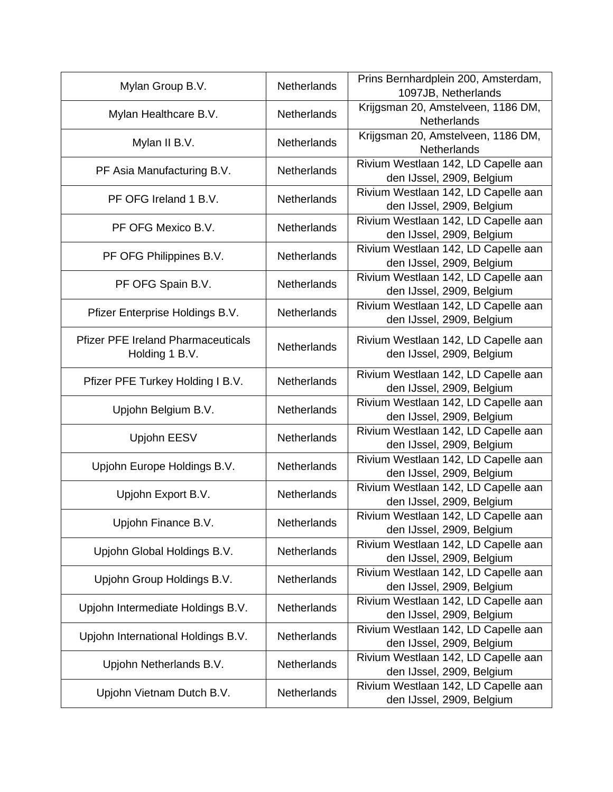| Mylan Group B.V.                                            | <b>Netherlands</b> | Prins Bernhardplein 200, Amsterdam,<br>1097JB, Netherlands       |
|-------------------------------------------------------------|--------------------|------------------------------------------------------------------|
| Mylan Healthcare B.V.                                       | Netherlands        | Krijgsman 20, Amstelveen, 1186 DM,<br><b>Netherlands</b>         |
| Mylan II B.V.                                               | Netherlands        | Krijgsman 20, Amstelveen, 1186 DM,<br><b>Netherlands</b>         |
| PF Asia Manufacturing B.V.                                  | <b>Netherlands</b> | Rivium Westlaan 142, LD Capelle aan<br>den IJssel, 2909, Belgium |
| PF OFG Ireland 1 B.V.                                       | Netherlands        | Rivium Westlaan 142, LD Capelle aan<br>den IJssel, 2909, Belgium |
| PF OFG Mexico B.V.                                          | <b>Netherlands</b> | Rivium Westlaan 142, LD Capelle aan<br>den IJssel, 2909, Belgium |
| PF OFG Philippines B.V.                                     | Netherlands        | Rivium Westlaan 142, LD Capelle aan<br>den IJssel, 2909, Belgium |
| PF OFG Spain B.V.                                           | Netherlands        | Rivium Westlaan 142, LD Capelle aan<br>den IJssel, 2909, Belgium |
| Pfizer Enterprise Holdings B.V.                             | <b>Netherlands</b> | Rivium Westlaan 142, LD Capelle aan<br>den IJssel, 2909, Belgium |
| <b>Pfizer PFE Ireland Pharmaceuticals</b><br>Holding 1 B.V. | <b>Netherlands</b> | Rivium Westlaan 142, LD Capelle aan<br>den IJssel, 2909, Belgium |
| Pfizer PFE Turkey Holding I B.V.                            | <b>Netherlands</b> | Rivium Westlaan 142, LD Capelle aan<br>den IJssel, 2909, Belgium |
| Upjohn Belgium B.V.                                         | <b>Netherlands</b> | Rivium Westlaan 142, LD Capelle aan<br>den IJssel, 2909, Belgium |
| Upjohn EESV                                                 | Netherlands        | Rivium Westlaan 142, LD Capelle aan<br>den IJssel, 2909, Belgium |
| Upjohn Europe Holdings B.V.                                 | <b>Netherlands</b> | Rivium Westlaan 142, LD Capelle aan<br>den IJssel, 2909, Belgium |
| Upjohn Export B.V.                                          | Netherlands        | Rivium Westlaan 142, LD Capelle aan<br>den IJssel, 2909, Belgium |
| Upjohn Finance B.V.                                         | Netherlands        | Rivium Westlaan 142, LD Capelle aan<br>den IJssel, 2909, Belgium |
| Upjohn Global Holdings B.V.                                 | Netherlands        | Rivium Westlaan 142, LD Capelle aan<br>den IJssel, 2909, Belgium |
| Upjohn Group Holdings B.V.                                  | Netherlands        | Rivium Westlaan 142, LD Capelle aan<br>den IJssel, 2909, Belgium |
| Upjohn Intermediate Holdings B.V.                           | <b>Netherlands</b> | Rivium Westlaan 142, LD Capelle aan<br>den IJssel, 2909, Belgium |
| Upjohn International Holdings B.V.                          | <b>Netherlands</b> | Rivium Westlaan 142, LD Capelle aan<br>den IJssel, 2909, Belgium |
| Upjohn Netherlands B.V.                                     | Netherlands        | Rivium Westlaan 142, LD Capelle aan<br>den IJssel, 2909, Belgium |
| Upjohn Vietnam Dutch B.V.                                   | Netherlands        | Rivium Westlaan 142, LD Capelle aan<br>den IJssel, 2909, Belgium |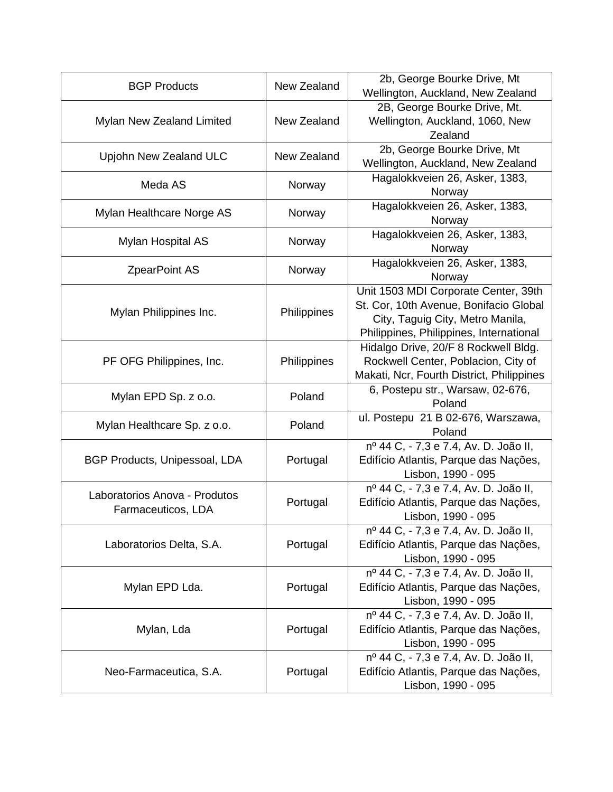| <b>BGP Products</b>           | New Zealand | 2b, George Bourke Drive, Mt                                                    |
|-------------------------------|-------------|--------------------------------------------------------------------------------|
|                               |             | Wellington, Auckland, New Zealand                                              |
| Mylan New Zealand Limited     | New Zealand | 2B, George Bourke Drive, Mt.<br>Wellington, Auckland, 1060, New                |
|                               |             | Zealand                                                                        |
|                               |             | 2b, George Bourke Drive, Mt                                                    |
| Upjohn New Zealand ULC        | New Zealand | Wellington, Auckland, New Zealand                                              |
|                               |             | Hagalokkveien 26, Asker, 1383,                                                 |
| Meda AS                       | Norway      | Norway                                                                         |
|                               |             | Hagalokkveien 26, Asker, 1383,                                                 |
| Mylan Healthcare Norge AS     | Norway      | Norway                                                                         |
| Mylan Hospital AS             | Norway      | Hagalokkveien 26, Asker, 1383,                                                 |
|                               |             | Norway                                                                         |
| <b>ZpearPoint AS</b>          | Norway      | Hagalokkveien 26, Asker, 1383,                                                 |
|                               |             | Norway                                                                         |
|                               |             | Unit 1503 MDI Corporate Center, 39th                                           |
| Mylan Philippines Inc.        | Philippines | St. Cor, 10th Avenue, Bonifacio Global                                         |
|                               |             | City, Taguig City, Metro Manila,                                               |
|                               |             | Philippines, Philippines, International                                        |
|                               |             | Hidalgo Drive, 20/F 8 Rockwell Bldg.                                           |
| PF OFG Philippines, Inc.      | Philippines | Rockwell Center, Poblacion, City of                                            |
|                               |             | Makati, Ncr, Fourth District, Philippines                                      |
| Mylan EPD Sp. z o.o.          | Poland      | 6, Postepu str., Warsaw, 02-676,                                               |
|                               |             |                                                                                |
|                               |             | Poland                                                                         |
| Mylan Healthcare Sp. z o.o.   | Poland      | ul. Postepu 21 B 02-676, Warszawa,                                             |
|                               |             | Poland                                                                         |
|                               |             | nº 44 C, - 7,3 e 7.4, Av. D. João II,                                          |
| BGP Products, Unipessoal, LDA | Portugal    | Edifício Atlantis, Parque das Nações,                                          |
|                               |             | Lisbon, 1990 - 095                                                             |
| Laboratorios Anova - Produtos | Portugal    | nº 44 C, - 7,3 e 7.4, Av. D. João II,<br>Edifício Atlantis, Parque das Nações, |
| Farmaceuticos, LDA            |             | Lisbon, 1990 - 095                                                             |
|                               |             | nº 44 C, - 7,3 e 7.4, Av. D. João II,                                          |
| Laboratorios Delta, S.A.      | Portugal    | Edifício Atlantis, Parque das Nações,                                          |
|                               |             | Lisbon, 1990 - 095                                                             |
|                               |             | nº 44 C, - 7,3 e 7.4, Av. D. João II,                                          |
| Mylan EPD Lda.                | Portugal    | Edifício Atlantis, Parque das Nações,                                          |
|                               |             | Lisbon, 1990 - 095                                                             |
|                               |             | nº 44 C, - 7,3 e 7.4, Av. D. João II,                                          |
| Mylan, Lda                    | Portugal    | Edifício Atlantis, Parque das Nações,                                          |
|                               |             | Lisbon, 1990 - 095                                                             |
|                               |             | nº 44 C, - 7,3 e 7.4, Av. D. João II,                                          |
| Neo-Farmaceutica, S.A.        | Portugal    | Edifício Atlantis, Parque das Nações,<br>Lisbon, 1990 - 095                    |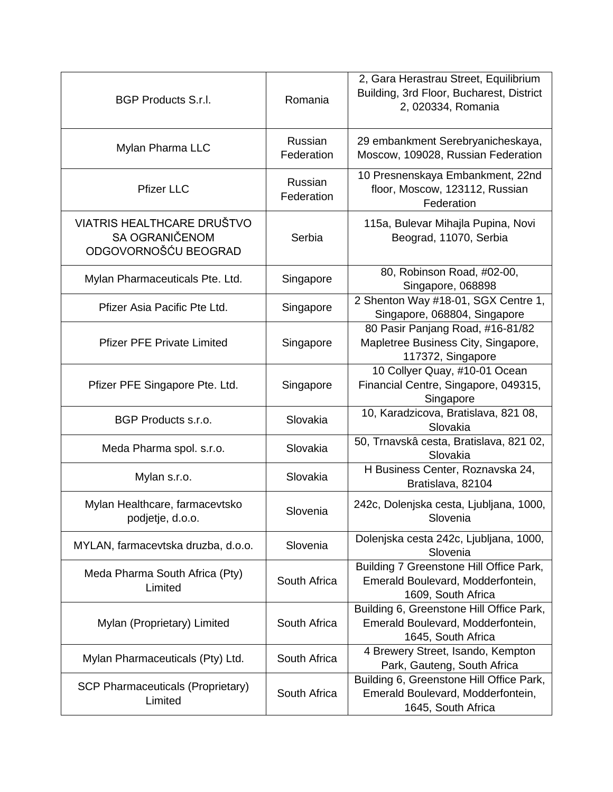| <b>BGP Products S.r.l.</b>                                                  | Romania               | 2, Gara Herastrau Street, Equilibrium<br>Building, 3rd Floor, Bucharest, District<br>2, 020334, Romania |
|-----------------------------------------------------------------------------|-----------------------|---------------------------------------------------------------------------------------------------------|
| Mylan Pharma LLC                                                            | Russian<br>Federation | 29 embankment Serebryanicheskaya,<br>Moscow, 109028, Russian Federation                                 |
| <b>Pfizer LLC</b>                                                           | Russian<br>Federation | 10 Presnenskaya Embankment, 22nd<br>floor, Moscow, 123112, Russian<br>Federation                        |
| <b>VIATRIS HEALTHCARE DRUŠTVO</b><br>SA OGRANIČENOM<br>ODGOVORNOŠĆU BEOGRAD | Serbia                | 115a, Bulevar Mihajla Pupina, Novi<br>Beograd, 11070, Serbia                                            |
| Mylan Pharmaceuticals Pte. Ltd.                                             | Singapore             | 80, Robinson Road, #02-00,<br>Singapore, 068898                                                         |
| Pfizer Asia Pacific Pte Ltd.                                                | Singapore             | 2 Shenton Way #18-01, SGX Centre 1,<br>Singapore, 068804, Singapore                                     |
| <b>Pfizer PFE Private Limited</b>                                           | Singapore             | 80 Pasir Panjang Road, #16-81/82<br>Mapletree Business City, Singapore,<br>117372, Singapore            |
| Pfizer PFE Singapore Pte. Ltd.                                              | Singapore             | 10 Collyer Quay, #10-01 Ocean<br>Financial Centre, Singapore, 049315,<br>Singapore                      |
| BGP Products s.r.o.                                                         | Slovakia              | 10, Karadzicova, Bratislava, 821 08,<br>Slovakia                                                        |
| Meda Pharma spol. s.r.o.                                                    | Slovakia              | 50, Trnavskâ cesta, Bratislava, 821 02,<br>Slovakia                                                     |
| Mylan s.r.o.                                                                | Slovakia              | H Business Center, Roznavska 24,<br>Bratislava, 82104                                                   |
| Mylan Healthcare, farmacevtsko<br>podjetje, d.o.o.                          | Slovenia              | 242c, Dolenjska cesta, Ljubljana, 1000,<br>Slovenia                                                     |
| MYLAN, farmacevtska druzba, d.o.o.                                          | Slovenia              | Dolenjska cesta 242c, Ljubljana, 1000,<br>Slovenia                                                      |
| Meda Pharma South Africa (Pty)<br>Limited                                   | South Africa          | Building 7 Greenstone Hill Office Park,<br>Emerald Boulevard, Modderfontein,<br>1609, South Africa      |
| Mylan (Proprietary) Limited                                                 | South Africa          | Building 6, Greenstone Hill Office Park,<br>Emerald Boulevard, Modderfontein,<br>1645, South Africa     |
| Mylan Pharmaceuticals (Pty) Ltd.                                            | South Africa          | 4 Brewery Street, Isando, Kempton<br>Park, Gauteng, South Africa                                        |
| <b>SCP Pharmaceuticals (Proprietary)</b><br>Limited                         | South Africa          | Building 6, Greenstone Hill Office Park,<br>Emerald Boulevard, Modderfontein,<br>1645, South Africa     |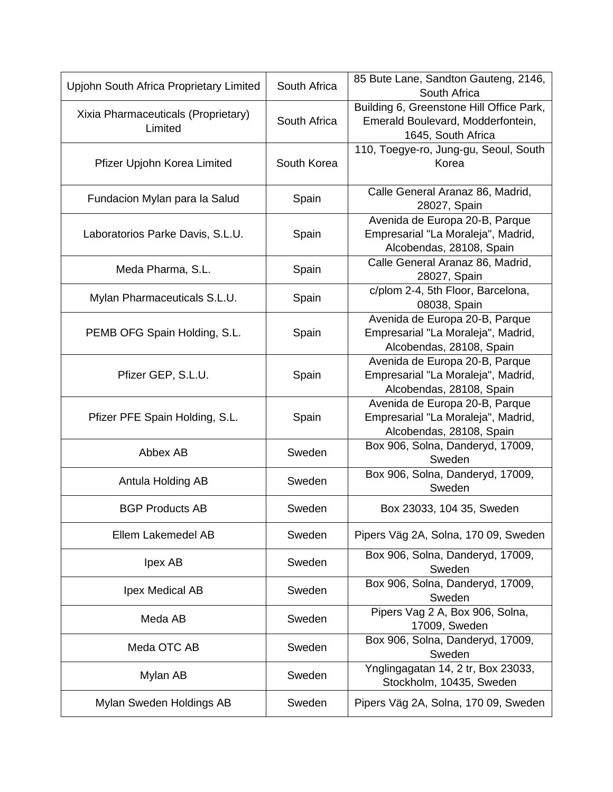| Upjohn South Africa Proprietary Limited        | South Africa | 85 Bute Lane, Sandton Gauteng, 2146,<br>South Africa                                                |
|------------------------------------------------|--------------|-----------------------------------------------------------------------------------------------------|
| Xixia Pharmaceuticals (Proprietary)<br>Limited | South Africa | Building 6, Greenstone Hill Office Park,<br>Emerald Boulevard, Modderfontein,<br>1645, South Africa |
| Pfizer Upjohn Korea Limited                    | South Korea  | 110, Toegye-ro, Jung-gu, Seoul, South<br>Korea                                                      |
| Fundacion Mylan para la Salud                  | Spain        | Calle General Aranaz 86, Madrid,<br>28027, Spain                                                    |
| Laboratorios Parke Davis, S.L.U.               | Spain        | Avenida de Europa 20-B, Parque<br>Empresarial "La Moraleja", Madrid,<br>Alcobendas, 28108, Spain    |
| Meda Pharma, S.L.                              | Spain        | Calle General Aranaz 86, Madrid,<br>28027, Spain                                                    |
| Mylan Pharmaceuticals S.L.U.                   | Spain        | c/plom 2-4, 5th Floor, Barcelona,<br>08038, Spain                                                   |
| PEMB OFG Spain Holding, S.L.                   | Spain        | Avenida de Europa 20-B, Parque<br>Empresarial "La Moraleja", Madrid,<br>Alcobendas, 28108, Spain    |
| Pfizer GEP, S.L.U.                             | Spain        | Avenida de Europa 20-B, Parque<br>Empresarial "La Moraleja", Madrid,<br>Alcobendas, 28108, Spain    |
| Pfizer PFE Spain Holding, S.L.                 | Spain        | Avenida de Europa 20-B, Parque<br>Empresarial "La Moraleja", Madrid,<br>Alcobendas, 28108, Spain    |
| Abbex AB                                       | Sweden       | Box 906, Solna, Danderyd, 17009,<br>Sweden                                                          |
| Antula Holding AB                              | Sweden       | Box 906, Solna, Danderyd, 17009,<br>Sweden                                                          |
| <b>BGP Products AB</b>                         | Sweden       | Box 23033, 104 35, Sweden                                                                           |
| Ellem Lakemedel AB                             | Sweden       | Pipers Väg 2A, Solna, 170 09, Sweden                                                                |
| Ipex AB                                        | Sweden       | Box 906, Solna, Danderyd, 17009,<br>Sweden                                                          |
| Ipex Medical AB                                | Sweden       | Box 906, Solna, Danderyd, 17009,<br>Sweden                                                          |
| Meda AB                                        | Sweden       | Pipers Vag 2 A, Box 906, Solna,<br>17009, Sweden                                                    |
| Meda OTC AB                                    | Sweden       | Box 906, Solna, Danderyd, 17009,<br>Sweden                                                          |
| Mylan AB                                       | Sweden       | Ynglingagatan 14, 2 tr, Box 23033,<br>Stockholm, 10435, Sweden                                      |
| Mylan Sweden Holdings AB                       | Sweden       | Pipers Väg 2A, Solna, 170 09, Sweden                                                                |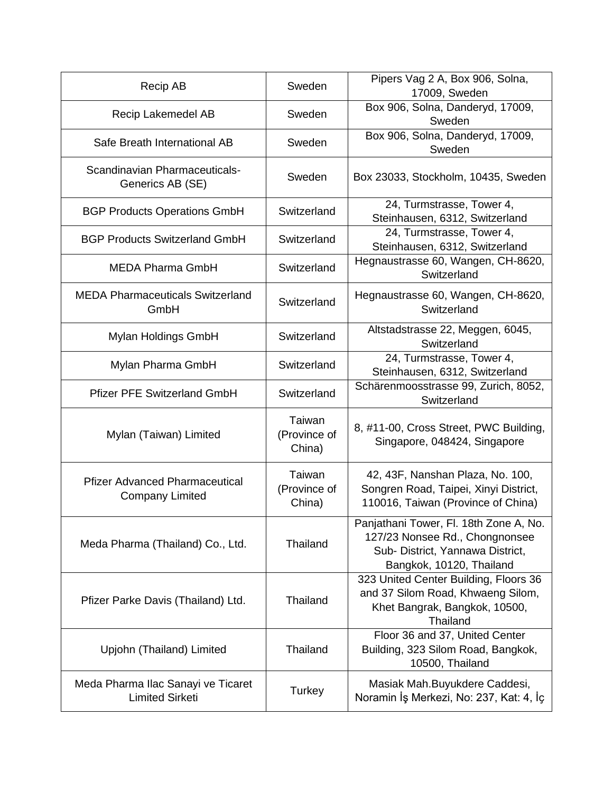| <b>Recip AB</b>                                                 | Sweden                           | Pipers Vag 2 A, Box 906, Solna,<br>17009, Sweden                                                                                         |
|-----------------------------------------------------------------|----------------------------------|------------------------------------------------------------------------------------------------------------------------------------------|
| Recip Lakemedel AB                                              | Sweden                           | Box 906, Solna, Danderyd, 17009,<br>Sweden                                                                                               |
| Safe Breath International AB                                    | Sweden                           | Box 906, Solna, Danderyd, 17009,<br>Sweden                                                                                               |
| Scandinavian Pharmaceuticals-<br>Generics AB (SE)               | Sweden                           | Box 23033, Stockholm, 10435, Sweden                                                                                                      |
| <b>BGP Products Operations GmbH</b>                             | Switzerland                      | 24, Turmstrasse, Tower 4,<br>Steinhausen, 6312, Switzerland                                                                              |
| <b>BGP Products Switzerland GmbH</b>                            | Switzerland                      | 24, Turmstrasse, Tower 4,<br>Steinhausen, 6312, Switzerland                                                                              |
| MEDA Pharma GmbH                                                | Switzerland                      | Hegnaustrasse 60, Wangen, CH-8620,<br>Switzerland                                                                                        |
| <b>MEDA Pharmaceuticals Switzerland</b><br>GmbH                 | Switzerland                      | Hegnaustrasse 60, Wangen, CH-8620,<br>Switzerland                                                                                        |
| Mylan Holdings GmbH                                             | Switzerland                      | Altstadstrasse 22, Meggen, 6045,<br>Switzerland                                                                                          |
| Mylan Pharma GmbH                                               | Switzerland                      | 24, Turmstrasse, Tower 4,<br>Steinhausen, 6312, Switzerland                                                                              |
| <b>Pfizer PFE Switzerland GmbH</b>                              | Switzerland                      | Schärenmoosstrasse 99, Zurich, 8052,<br>Switzerland                                                                                      |
| Mylan (Taiwan) Limited                                          | Taiwan<br>(Province of<br>China) | 8, #11-00, Cross Street, PWC Building,<br>Singapore, 048424, Singapore                                                                   |
| <b>Pfizer Advanced Pharmaceutical</b><br><b>Company Limited</b> | Taiwan<br>(Province of<br>China) | 42, 43F, Nanshan Plaza, No. 100,<br>Songren Road, Taipei, Xinyi District,<br>110016, Taiwan (Province of China)                          |
| Meda Pharma (Thailand) Co., Ltd.                                | Thailand                         | Panjathani Tower, Fl. 18th Zone A, No.<br>127/23 Nonsee Rd., Chongnonsee<br>Sub- District, Yannawa District,<br>Bangkok, 10120, Thailand |
| Pfizer Parke Davis (Thailand) Ltd.                              | Thailand                         | 323 United Center Building, Floors 36<br>and 37 Silom Road, Khwaeng Silom,<br>Khet Bangrak, Bangkok, 10500,<br>Thailand                  |
| Upjohn (Thailand) Limited                                       | Thailand                         | Floor 36 and 37, United Center<br>Building, 323 Silom Road, Bangkok,<br>10500, Thailand                                                  |
| Meda Pharma Ilac Sanayi ve Ticaret<br><b>Limited Sirketi</b>    | Turkey                           | Masiak Mah. Buyukdere Caddesi,<br>Noramin İş Merkezi, No: 237, Kat: 4, İç                                                                |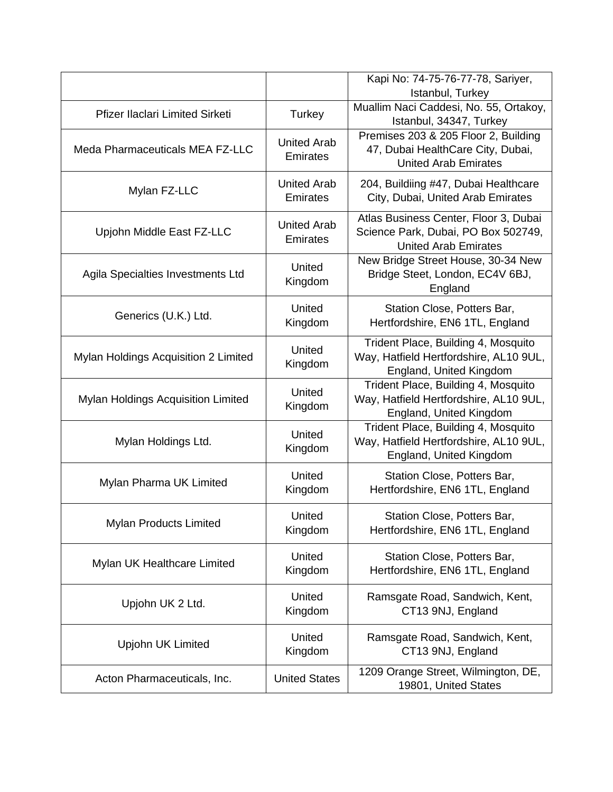|                                      |                                       | Kapi No: 74-75-76-77-78, Sariyer,<br>Istanbul, Turkey                                                       |
|--------------------------------------|---------------------------------------|-------------------------------------------------------------------------------------------------------------|
| Pfizer Ilaclari Limited Sirketi      | Turkey                                | Muallim Naci Caddesi, No. 55, Ortakoy,<br>Istanbul, 34347, Turkey                                           |
| Meda Pharmaceuticals MEA FZ-LLC      | <b>United Arab</b><br><b>Emirates</b> | Premises 203 & 205 Floor 2, Building<br>47, Dubai HealthCare City, Dubai,<br><b>United Arab Emirates</b>    |
| Mylan FZ-LLC                         | <b>United Arab</b><br><b>Emirates</b> | 204, Buildiing #47, Dubai Healthcare<br>City, Dubai, United Arab Emirates                                   |
| Upjohn Middle East FZ-LLC            | <b>United Arab</b><br><b>Emirates</b> | Atlas Business Center, Floor 3, Dubai<br>Science Park, Dubai, PO Box 502749,<br><b>United Arab Emirates</b> |
| Agila Specialties Investments Ltd    | United<br>Kingdom                     | New Bridge Street House, 30-34 New<br>Bridge Steet, London, EC4V 6BJ,<br>England                            |
| Generics (U.K.) Ltd.                 | United<br>Kingdom                     | Station Close, Potters Bar,<br>Hertfordshire, EN6 1TL, England                                              |
| Mylan Holdings Acquisition 2 Limited | United<br>Kingdom                     | Trident Place, Building 4, Mosquito<br>Way, Hatfield Hertfordshire, AL10 9UL,<br>England, United Kingdom    |
| Mylan Holdings Acquisition Limited   | United<br>Kingdom                     | Trident Place, Building 4, Mosquito<br>Way, Hatfield Hertfordshire, AL10 9UL,<br>England, United Kingdom    |
| Mylan Holdings Ltd.                  | United<br>Kingdom                     | Trident Place, Building 4, Mosquito<br>Way, Hatfield Hertfordshire, AL10 9UL,<br>England, United Kingdom    |
| Mylan Pharma UK Limited              | United<br>Kingdom                     | Station Close, Potters Bar,<br>Hertfordshire, EN6 1TL, England                                              |
| <b>Mylan Products Limited</b>        | United<br>Kingdom                     | Station Close, Potters Bar.<br>Hertfordshire, EN6 1TL, England                                              |
| Mylan UK Healthcare Limited          | United<br>Kingdom                     | Station Close, Potters Bar,<br>Hertfordshire, EN6 1TL, England                                              |
| Upjohn UK 2 Ltd.                     | United<br>Kingdom                     | Ramsgate Road, Sandwich, Kent,<br>CT13 9NJ, England                                                         |
| Upjohn UK Limited                    | United<br>Kingdom                     | Ramsgate Road, Sandwich, Kent,<br>CT13 9NJ, England                                                         |
| Acton Pharmaceuticals, Inc.          | <b>United States</b>                  | 1209 Orange Street, Wilmington, DE,<br>19801, United States                                                 |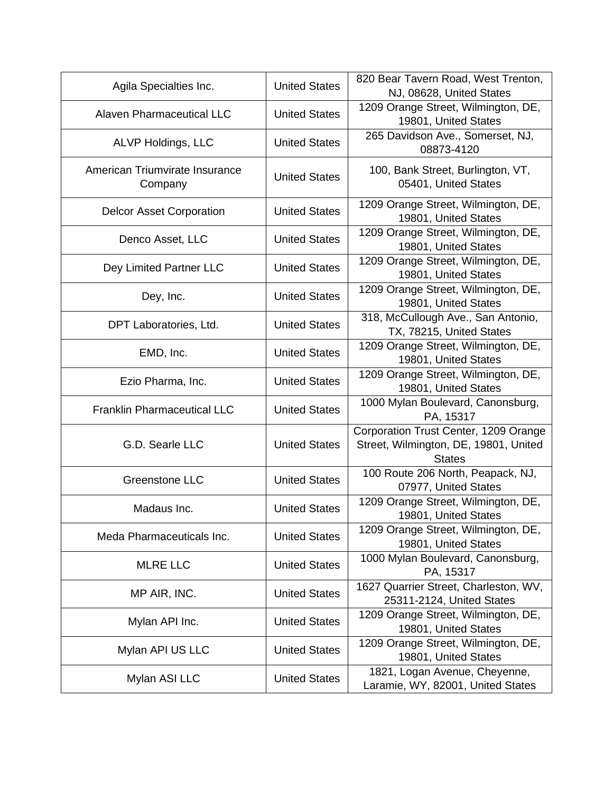| Agila Specialties Inc.                    | <b>United States</b> | 820 Bear Tavern Road, West Trenton,<br>NJ, 08628, United States                                 |
|-------------------------------------------|----------------------|-------------------------------------------------------------------------------------------------|
| Alaven Pharmaceutical LLC                 | <b>United States</b> | 1209 Orange Street, Wilmington, DE,<br>19801, United States                                     |
| ALVP Holdings, LLC                        | <b>United States</b> | 265 Davidson Ave., Somerset, NJ,<br>08873-4120                                                  |
| American Triumvirate Insurance<br>Company | <b>United States</b> | 100, Bank Street, Burlington, VT,<br>05401, United States                                       |
| <b>Delcor Asset Corporation</b>           | <b>United States</b> | 1209 Orange Street, Wilmington, DE,<br>19801, United States                                     |
| Denco Asset, LLC                          | <b>United States</b> | 1209 Orange Street, Wilmington, DE,<br>19801, United States                                     |
| Dey Limited Partner LLC                   | <b>United States</b> | 1209 Orange Street, Wilmington, DE,<br>19801, United States                                     |
| Dey, Inc.                                 | <b>United States</b> | 1209 Orange Street, Wilmington, DE,<br>19801, United States                                     |
| DPT Laboratories, Ltd.                    | <b>United States</b> | 318, McCullough Ave., San Antonio,<br>TX, 78215, United States                                  |
| EMD, Inc.                                 | <b>United States</b> | 1209 Orange Street, Wilmington, DE,<br>19801, United States                                     |
| Ezio Pharma, Inc.                         | <b>United States</b> | 1209 Orange Street, Wilmington, DE,<br>19801, United States                                     |
| <b>Franklin Pharmaceutical LLC</b>        | <b>United States</b> | 1000 Mylan Boulevard, Canonsburg,<br>PA, 15317                                                  |
| G.D. Searle LLC                           | <b>United States</b> | Corporation Trust Center, 1209 Orange<br>Street, Wilmington, DE, 19801, United<br><b>States</b> |
| <b>Greenstone LLC</b>                     | <b>United States</b> | 100 Route 206 North, Peapack, NJ,<br>07977, United States                                       |
| Madaus Inc.                               | <b>United States</b> | 1209 Orange Street, Wilmington, DE,<br>19801, United States                                     |
| Meda Pharmaceuticals Inc.                 | <b>United States</b> | 1209 Orange Street, Wilmington, DE,<br>19801, United States                                     |
| <b>MLRE LLC</b>                           | <b>United States</b> | 1000 Mylan Boulevard, Canonsburg,<br>PA, 15317                                                  |
| MP AIR, INC.                              | <b>United States</b> | 1627 Quarrier Street, Charleston, WV,<br>25311-2124, United States                              |
| Mylan API Inc.                            | <b>United States</b> | 1209 Orange Street, Wilmington, DE,<br>19801, United States                                     |
| Mylan API US LLC                          | <b>United States</b> | 1209 Orange Street, Wilmington, DE,<br>19801, United States                                     |
| Mylan ASI LLC                             | <b>United States</b> | 1821, Logan Avenue, Cheyenne,<br>Laramie, WY, 82001, United States                              |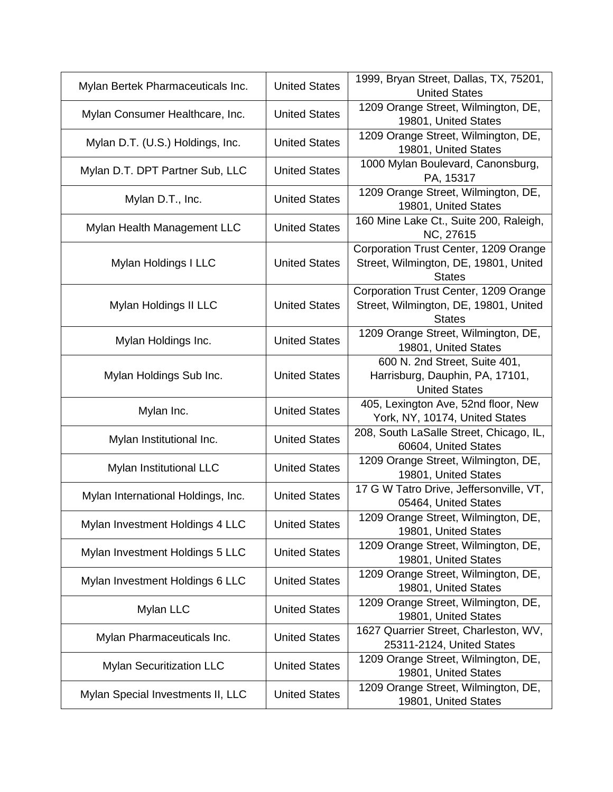| Mylan Bertek Pharmaceuticals Inc.  | <b>United States</b> | 1999, Bryan Street, Dallas, TX, 75201,<br><b>United States</b>                                  |
|------------------------------------|----------------------|-------------------------------------------------------------------------------------------------|
| Mylan Consumer Healthcare, Inc.    | <b>United States</b> | 1209 Orange Street, Wilmington, DE,<br>19801, United States                                     |
| Mylan D.T. (U.S.) Holdings, Inc.   | <b>United States</b> | 1209 Orange Street, Wilmington, DE,<br>19801, United States                                     |
| Mylan D.T. DPT Partner Sub, LLC    | <b>United States</b> | 1000 Mylan Boulevard, Canonsburg,<br>PA, 15317                                                  |
| Mylan D.T., Inc.                   | <b>United States</b> | 1209 Orange Street, Wilmington, DE,<br>19801, United States                                     |
| Mylan Health Management LLC        | <b>United States</b> | 160 Mine Lake Ct., Suite 200, Raleigh,<br>NC, 27615                                             |
| Mylan Holdings I LLC               | <b>United States</b> | Corporation Trust Center, 1209 Orange<br>Street, Wilmington, DE, 19801, United<br><b>States</b> |
| Mylan Holdings II LLC              | <b>United States</b> | Corporation Trust Center, 1209 Orange<br>Street, Wilmington, DE, 19801, United<br><b>States</b> |
| Mylan Holdings Inc.                | <b>United States</b> | 1209 Orange Street, Wilmington, DE,<br>19801, United States                                     |
| Mylan Holdings Sub Inc.            | <b>United States</b> | 600 N. 2nd Street, Suite 401,<br>Harrisburg, Dauphin, PA, 17101,<br><b>United States</b>        |
| Mylan Inc.                         | <b>United States</b> | 405, Lexington Ave, 52nd floor, New<br>York, NY, 10174, United States                           |
| Mylan Institutional Inc.           | <b>United States</b> | 208, South LaSalle Street, Chicago, IL,<br>60604, United States                                 |
| Mylan Institutional LLC            | <b>United States</b> | 1209 Orange Street, Wilmington, DE,<br>19801, United States                                     |
| Mylan International Holdings, Inc. | <b>United States</b> | 17 G W Tatro Drive, Jeffersonville, VT,<br>05464, United States                                 |
| Mylan Investment Holdings 4 LLC    | <b>United States</b> | 1209 Orange Street, Wilmington, DE,<br>19801, United States                                     |
| Mylan Investment Holdings 5 LLC    | <b>United States</b> | 1209 Orange Street, Wilmington, DE,<br>19801, United States                                     |
| Mylan Investment Holdings 6 LLC    | <b>United States</b> | 1209 Orange Street, Wilmington, DE,<br>19801, United States                                     |
| Mylan LLC                          | <b>United States</b> | 1209 Orange Street, Wilmington, DE,<br>19801, United States                                     |
| Mylan Pharmaceuticals Inc.         | <b>United States</b> | 1627 Quarrier Street, Charleston, WV,<br>25311-2124, United States                              |
| <b>Mylan Securitization LLC</b>    | <b>United States</b> | 1209 Orange Street, Wilmington, DE,<br>19801, United States                                     |
| Mylan Special Investments II, LLC  | <b>United States</b> | 1209 Orange Street, Wilmington, DE,<br>19801, United States                                     |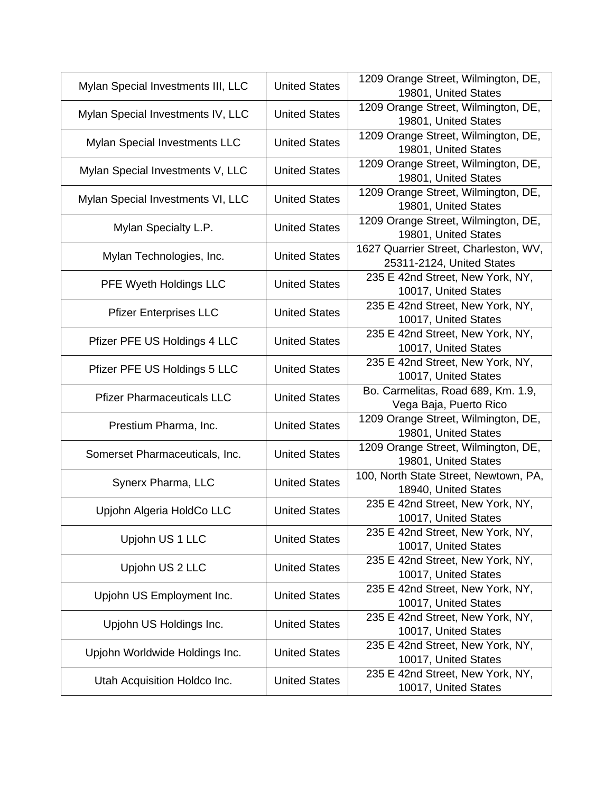| Mylan Special Investments III, LLC   | <b>United States</b> | 1209 Orange Street, Wilmington, DE,<br>19801, United States        |
|--------------------------------------|----------------------|--------------------------------------------------------------------|
| Mylan Special Investments IV, LLC    | <b>United States</b> | 1209 Orange Street, Wilmington, DE,<br>19801, United States        |
| <b>Mylan Special Investments LLC</b> | <b>United States</b> | 1209 Orange Street, Wilmington, DE,<br>19801, United States        |
| Mylan Special Investments V, LLC     | <b>United States</b> | 1209 Orange Street, Wilmington, DE,<br>19801, United States        |
| Mylan Special Investments VI, LLC    | <b>United States</b> | 1209 Orange Street, Wilmington, DE,<br>19801, United States        |
| Mylan Specialty L.P.                 | <b>United States</b> | 1209 Orange Street, Wilmington, DE,<br>19801, United States        |
| Mylan Technologies, Inc.             | <b>United States</b> | 1627 Quarrier Street, Charleston, WV,<br>25311-2124, United States |
| PFE Wyeth Holdings LLC               | <b>United States</b> | 235 E 42nd Street, New York, NY,<br>10017, United States           |
| <b>Pfizer Enterprises LLC</b>        | <b>United States</b> | 235 E 42nd Street, New York, NY,<br>10017, United States           |
| Pfizer PFE US Holdings 4 LLC         | <b>United States</b> | 235 E 42nd Street, New York, NY,<br>10017, United States           |
| Pfizer PFE US Holdings 5 LLC         | <b>United States</b> | 235 E 42nd Street, New York, NY,<br>10017, United States           |
| <b>Pfizer Pharmaceuticals LLC</b>    | <b>United States</b> | Bo. Carmelitas, Road 689, Km. 1.9,<br>Vega Baja, Puerto Rico       |
| Prestium Pharma, Inc.                | <b>United States</b> | 1209 Orange Street, Wilmington, DE,<br>19801, United States        |
| Somerset Pharmaceuticals, Inc.       | <b>United States</b> | 1209 Orange Street, Wilmington, DE,<br>19801, United States        |
| Synerx Pharma, LLC                   | <b>United States</b> | 100, North State Street, Newtown, PA,<br>18940, United States      |
| Upjohn Algeria HoldCo LLC            | <b>United States</b> | 235 E 42nd Street, New York, NY,<br>10017, United States           |
| Upjohn US 1 LLC                      | <b>United States</b> | 235 E 42nd Street, New York, NY,<br>10017, United States           |
| Upjohn US 2 LLC                      | <b>United States</b> | 235 E 42nd Street, New York, NY,<br>10017, United States           |
| Upjohn US Employment Inc.            | <b>United States</b> | 235 E 42nd Street, New York, NY,<br>10017, United States           |
| Upjohn US Holdings Inc.              | <b>United States</b> | 235 E 42nd Street, New York, NY,<br>10017, United States           |
| Upjohn Worldwide Holdings Inc.       | <b>United States</b> | 235 E 42nd Street, New York, NY,<br>10017, United States           |
| Utah Acquisition Holdco Inc.         | <b>United States</b> | 235 E 42nd Street, New York, NY,<br>10017, United States           |